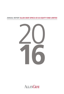# **ANNUAL REPORT ALLAN GRAY AFRICA EX-SA EQUITY FUND LIMITED**



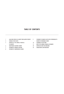# **TABLE OF CONTENTS**

- 1 ALLAN GRAY AFRICA EX-SA EQUITY FUND LIMITED STRATEGY
- 4 SCHEDULE OF NET ASSETS
- 5 APPROVAL OF THE ANNUAL FINANCIAL
- STATEMENTS
- 6 INDEPENDENT AUDITORS' REPORT
- 7 STATEMENT OF FINANCIAL POSITION
- 8 STATEMENT OF COMPREHENSIVE INCOME
- STATEMENT OF CHANGES IN NET ASSETS ATTRIBUTABLE TO HOLDERS OF REDEEMABLE SHARES
- 10 STATEMENT OF CASH FLOWS
- 11 NOTES TO THE ANNUAL FINANCIAL STATEMENTS
- 29 IMPORTANT NOTES FOR INVESTORS
- 32 CHARACTERISTICS AND DIRECTORY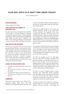# **ALLAN GRAY AFRICA EX-SA EQUITY FUND LIMITED STRATEGY**

as at 31 December 2016

### **PORTFOLIO MANAGER**

Andrew Lapping, Nick Ndiritu

# **FUND DESCRIPTION AND SUMMARY OF INVESTMENT POLICY**

The Allan Gray Africa ex-SA Equity Fund Limited (the 'Fund') invests in a focused portfolio of companies with significant business interests in Africa regardless of the location of the stock exchange listing (excluding South Africa). The Fund price is reported in US dollars, but the underlying holdings are denominated in various currencies. Returns are likely to be volatile.

### **FUND OBJECTIVE AND BENCHMARK**

The Fund aims to outperform African equity markets (excluding South Africa) over the long term without taking on greater risk of loss. The Fund's benchmark is the Standard Bank Africa Total Return Index. The Fund does not seek to mirror the benchmark but instead may deviate meaningfully from this performance benchmark in pursuit of superior returns. To the extent that its investments differ from those in the benchmark, the Fund faces the risk of underperforming the benchmark.

### **SUITABLE FOR THOSE INVESTORS WHO**

- Seek exposure to African (excluding South African) equities
- Are comfortable with stock market and currency fluctuations
- Are prepared to take on the risk of capital loss
- Typically have an investment horizon of more than five years

### **COMMENTARY**

Most African equity markets had a difficult 2016, generating negative dollar returns. The worst performers were Egypt and Nigeria, which fell 47% and 41% respectively, while the standout performer was Morocco, returning 26%. Kenya, the other large, liquid market, fell 9%.

After trying to plug the dyke for over a year, the Egyptian authorities finally let the pound float in early November. The magnitude of the move surprised most; including us (we were using a rate of EGP13.20/US\$ to value the portfolio just before the devaluation). The Egyptian pound lost 52% of its value in eight weeks, moving from EGP8.88/US\$ to EGP18.52/US\$. The local equity market rallied 37% over the same period, for a net US\$ loss of 35% for equity investors.

Close observers of the Fund's price series would have seen little price movement from the above volatility as by November we had already devalued the Egyptian pound rate used to value the Fund assets, so the subsequent stock market and currency moves more-or-less offset one another.

We think the Egyptian pound is undervalued and may well recover somewhat, especially if the government adopts some sensible policies and cuts back on money printing. We are not net buyers of Egyptian equities, as there is less value after the rally. Our preferred exposure is still Eastern Tobacco. The Egyptian opportunity currently appears to be in local currency, fixed interest and cheap holidays.

The Fund is a buyer of Nigerian banks, as these businesses look undervalued despite substantial risks. The Nigerian bank investments detracted 8.9% from returns over the past year. Nigerian consumer businesses are beginning to move into our valuation range, but we are not yet substantial buyers.

It would have been nice if rather than investing in Nigerian banks the Fund had the equivalent sum invested in Moroccan equities – unfortunately this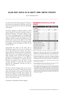# **ALLAN GRAY AFRICA EX-SA EQUITY FUND LIMITED STRATEGY**

as at 31 December 2016

was not the case. We had zero exposure to Morocco over the year and, despite lots of looking, we have not found any businesses that we think are substantially undervalued.

The Fund's exposure to Kenyan equities is fairly modest despite the financial companies trading on depressed valuations. The Kenyan shilling is cause for concern. The shilling traded in a remarkably tight range around KES101/US\$ over the past 18 months, despite a rapidly increasing fiscal deficit (now 10% of GDP) and a current account deficit of 6% of GDP. Private sector credit expansion has slowed recently, but a pegged currency and large twin deficits do not usually end well.

Unfortunately, the reason for the sharp rally in Zimbabwean equites over the past six months was not an improving economic situation, but rather a deteriorating one. The government has introduced so called "bond notes" in an attempt to solve the chronic dollar shortage, which could be the harbinger of another bout of money printing. It is very difficult to get dollars out of Zimbabwe, so investors with cash balances are looking to buy real assets, driving up equity valuations. In pricing the Fund, we have devalued the Zimbabwean securities by 20% to reflect this anomaly.

The Fund is still not charging a fee as we work on improving the fee structure. Falling African equity prices and valuations over the past 30 months have laid the groundwork for better returns ahead. The Fund owns a collection of undervalued equities that should reward long-term investors with pleasing real returns in the years to come.

*Commentary contributed by Andrew Lapping*

### **PERFORMANCE IN US\$ NET OF ALL FEES AND EXPENSES**

| % Returns                                                  | Fund    | Benchmark <sup>1</sup> |
|------------------------------------------------------------|---------|------------------------|
| Cumulative:                                                |         |                        |
| Since inception                                            | $-46$   | $-29.0$                |
| Annualised:                                                |         |                        |
| Since inception                                            | $-0.9$  | $-6.6$                 |
| Latest 5 years                                             | $-0.9$  | $-6.6$                 |
| Latest 3 years                                             | $-16.5$ | $-16.2$                |
| Latest 2 years                                             | $-20.5$ | $-16.0$                |
| Latest 1 year                                              | $-6.4$  | 3.5                    |
| Risk measures (since inception, based on month-end prices) |         |                        |
| Maximum drawdown <sup>2</sup>                              | $-51.7$ | $-51.8$                |
| Percentage positive months <sup>3</sup>                    | 53.3    | 50.0                   |
| Annualised monthly volatility <sup>4</sup>                 | 18.1    | 19.6                   |
| Highest annual return <sup>5</sup>                         | 41.0    | 24.6                   |
| Lowest annual return <sup>5</sup>                          | $-38.6$ | $-43.4$                |

Relative to benchmark return required to reach high watermark: 22.0%.

- 1. Standard Bank Africa Total Return Index (source: Standard Bank), performance as calculated by Allan Gray as at 31 December 2016. Calculation based on the latest available data as supplied by third parties.
- 2. Maximum percentage decline over any period. The maximum drawdown occurred from August 2014 to July 2016 and maximum benchmark<br>drawdown occurred from July 2014 to January 2016. Drawdown is<br>calculated on the total return of the Fund/benchmark (i.e. including income).
- 3. The percentage of calendar months in which the Fund produced a positive monthly return since inception.
- 4. The standard deviation of the Fund's monthly return. This is a measure of how much an investment's return varies from its average over time.
- 5. This is the highest or lowest rolling 12-month return the Fund has experienced since inception. The Fund's highest annual return occurred during the 12 months ended 31 May 2013 and the benchmark's occurred during the 12 months ended 30 June 2014. The Fund's lowest annual return occurred during the 12 months ended 31 August 2015 and the benchmark's occurred during the 12 months ended 31 August 2015. All rolling 12-month figures for the Fund and the benchmark are available from the Allan Gray Service Team on request.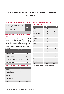# **ALLAN GRAY AFRICA EX-SA EQUITY FUND LIMITED STRATEGY**

as at 31 December 2016

# **INCOME DISTRIBUTION FOR THE LAST 12 MONTHS**

| distribute any surplus.<br>Dollars per unit                                                                              | 4.4719      |
|--------------------------------------------------------------------------------------------------------------------------|-------------|
| To the extent that income earned in the<br>form of dividends and interest exceeds<br>expenses in the Fund, the Fund will | 31 Dec 2016 |

# **TOTAL EXPENSE RATIO ('TER') AND TRANSACTION COSTS**

The annual management fee charged is included in the TER. The TER is a measure of the actual expenses incurred by the Fund over a 3-year period (annualised). Since Fund returns are quoted after deduction of these expenses, the TER should not be deducted from the published returns. Transaction costs are disclosed separately.

| TER and Transaction costs breakdown for<br>the 3-year period ending<br>31 December 2016 | %    |
|-----------------------------------------------------------------------------------------|------|
| Total expense ratio                                                                     | 2.94 |
| Fixed fee                                                                               | 0.90 |
| Performance fees                                                                        | 1.35 |
| Custody fees                                                                            | 0.30 |
| Other costs excluding transaction costs                                                 | 0.07 |
| <b>VAT</b>                                                                              | 0.32 |
| <b>Transaction costs (including VAT)</b>                                                | 0.49 |
| <b>Total investment charge</b>                                                          | 3.43 |

# **SECTOR ALLOCATION AS AT 31 DECEMBER 2016**

| <b>Sector</b>      | % of Equities | <b>Benchmark</b> <sup>1</sup> |
|--------------------|---------------|-------------------------------|
| Financials         | 31.9          | 36.8                          |
| Consumer goods     | 24.3          | 9.1                           |
| Telecommunications | 15.6          | 11.5                          |
| Oil & gas          | 14.4          | 13.0                          |
| Basic materials    | 7.6           | 27.5                          |
| <b>Utilities</b>   | 3.5           | 0.2                           |
| Consumer services  | 2.5           | 0.3                           |
| Industrials        | 0.2           | 1.6                           |
| Total <sup>6</sup> | 100.0         | 100.0                         |

# **COUNTRY OF PRIMARY LISTING AS AT 31 DECEMBER 2016**

| Country              | % of Equities | Benchmark <sup>1</sup> |
|----------------------|---------------|------------------------|
| Nigeria              | 27.8          | 16.5                   |
| Zimbabwe             | 23.5          | 1.0                    |
| Egypt                | 12.5          | 11.6                   |
| United Kingdom       | 7.5           | 13.8                   |
| Kenya                | 7.0           | 14.2                   |
| <b>BRVM</b>          | 3.9           | 2.2                    |
| Australia            | 3.5           | 0.3                    |
| Uganda               | 3.4           | 0.2                    |
| France               | 3.2           | 3.1                    |
| Rwanda               | 2.4           |                        |
| Malawi               | 1.6           |                        |
| <b>Netherlands</b>   | 1.2           |                        |
| Zambia               | 1.2           |                        |
| Canada               | 0.8           | 23.3                   |
| Tanzania             | 0.6           | 0.8                    |
| Ghana                |               |                        |
| Morocco              |               | 6.8                    |
| Tunisia              |               | 3.0                    |
| Mauritius            |               | 2.7                    |
| Botswana             |               | 0.3                    |
| <b>United States</b> |               | 0.3                    |
| Total <sup>6</sup>   | 100.0         | 100.0                  |

6. There may be slight discrepancies in the totals due to rounding.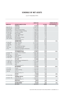# **SCHEDULE OF NET ASSETS**

as at 31 December 2016

|                    |                                       | <b>MARKET VALUE</b> |           | <b>STANDARD BANK AFRICA</b>   |
|--------------------|---------------------------------------|---------------------|-----------|-------------------------------|
| <b>NUMBER HELD</b> | <b>INSTRUMENT (RANKED BY SECTOR)</b>  | <b>USS</b>          | % OF FUND | <b>TOTAL RETURN INDEX (%)</b> |
|                    | <b>FINANCIALS</b>                     | 70 134 063          | 31.7%     | 36.7%                         |
| 804 239 101        | <b>Access Bank</b>                    | 15 493 546          | 7.0%      |                               |
| 270 935 553        | Zenith Bank                           | 13 115 522          | 5.9%      |                               |
| 28 356 802         | Kenya Commercial Bank                 | 7 956 066           | 3.6%      |                               |
| 563 016 310        | First Bank of Nigeria Holdings        | 6 190 038           | 2.8%      |                               |
| 67 427 670         | <b>Guaranty Trust Bank</b>            | 5 465 912           | 2.5%      |                               |
| 19 157 200         | Bank of Kigali                        | 5 358 329           | 2.4%      |                               |
| 1784 503           | Credit Agricole Egypt                 | 3 570 975           | 1.6%      |                               |
| 58 660 796         | Stanbic IBTC                          | 2 887 798           | 1.3%      |                               |
| 28 662 300         | Barclays Bank of Kenya                | 2 545 398           | 1.1%      |                               |
| 769 132 834        | Diamond Bank                          | 2 2 2 1 3 2 2       | 1.0%      |                               |
|                    | Positions less than 1%                | 5 3 29 1 5 7        | 2.5%      |                               |
|                    | <b>CONSUMER GOODS</b>                 | 53 407 473          | 24.1%     | 9.1%                          |
| 27 036 995         | <b>Delta Corporation</b>              | 19 142 192          | 8.6%      |                               |
| 1 183 985          | Eastern Tobacco                       | 18 147 035          | 8.2%      |                               |
| 17 286 705         | <b>Innscor Africa</b>                 | 6 638 095           | 3.0%      |                               |
| 10747              | Soc Ivoirienne Des Tabacs             | 2 563 204           | 1.2%      |                               |
| 1951442            | National Breweries PLC                | 2 556 045           | 1.2%      |                               |
| 7914               | Societe de Limonaderies et Brasseries | 2 231 994           | 1.0%      |                               |
|                    | Positions less than 1%                | 2 128 908           | 0.9%      |                               |
|                    | <b>TELECOMMUNICATIONS</b>             | 34 328 616          | 15.5%     | 11.5%                         |
| 79 030 782         | <b>Econet Wireless Zimbabwe</b>       | 18 967 388          | 8.6%      |                               |
| 96 257             | Sonatel                               | 3 826 282           | 1.7%      |                               |
| 9747968            | Global Telecom                        | 5 5 4 5 3 4 4       | 2.5%      |                               |
| 16 802 000         | Safaricom                             | 3 140 024           | 1.4%      |                               |
| 3790256            | <b>Press Corporation</b>              | 2 849 578           | 1.3%      |                               |
|                    | <b>OIL &amp; GAS</b>                  | 31 663 883          | 14.3%     | 13.0%                         |
| 15 493 710         | Seplat Petroleum Development Co       | 14 161 194          | 6.4%      |                               |
| 1 188 255          | Maurel et Prom                        | 5 274 684           | 2.4%      |                               |
| 1 305 228          | Tullow Oil                            | 5 0 29 7 7 1        | 2.3%      |                               |
| 12 141 503         | Lekoil                                | 3 927 677           | 1.8%      |                               |
|                    | Positions less than 1%                | 3 270 557           | 1.4%      |                               |
|                    | <b>BASIC MATERIALS</b>                | 16 757 660          | 7.6%      | 27.5%                         |
| 1771573            | Zimplats                              | 7 670 204           | 3.5%      |                               |
| 5 534 500          | Caledonia Mining                      | 5 669 469           | 2.6%      |                               |
| 149 632            | OCIN.V.                               | 2 609 656           | 1.2%      |                               |
|                    | Positions less than 1%                | 808 330             | 0.3%      |                               |
|                    | <b>UTILITIES</b>                      | 7734038             | 3.5%      | 0.2%                          |
| 57 055 990         | Umeme                                 | 7734038             | 3.5%      |                               |
|                    | <b>CONSUMER SERVICES</b>              | 5 497 451           | 2.5%      | 0.3%                          |
| 24 664 196         | Simbisa Brands                        | 3 157 017           | 1.4%      |                               |
|                    | Positions less than 1%                | 2 340 434           | 1.1%      |                               |
|                    | <b>INDUSTRIALS</b>                    | 566 624             | 0.3%      | 1.6%                          |
|                    | Positions less than 1%                | 566 624             | 0.3%      |                               |
|                    | <b>CASH AND ACCRUALS</b>              | 1401609             | 0.6%      | 0.3%                          |
|                    | <b>NET ASSETS</b>                     | 221 491 417         | 100.0%    |                               |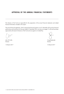# **APPROVAL OF THE ANNUAL FINANCIAL STATEMENTS**

The directors of the Fund are responsible for the preparation of the annual financial statements and related financial information included in this report.

The annual financial statements, which comprise the financial position as at 31 December 2016 and its financial performance and cash flows for the year ended 31 December 2016, are set out on pages 7 to 28 and have been approved by the board of directors of the Fund and are signed on its behalf by:

Director Director

John CR Collis **Craig Bodenstab** 

15 March 2017 15 March 2017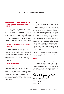# **INDEPENDENT AUDITORS' REPORT**

## **TO THE BOARD OF DIRECTORS AND MEMBERS OF ALLAN GRAY AFRICA EX-SA EQUITY FUND LIMITED (THE 'FUND')**

We have audited the accompanying financial statements of the Fund, which comprise the statement of financial position as at 31 December 2016 and the statements of comprehensive income, changes in net assets attributable to holders of redeemable shares and cash flows for the year ended 31 December 2016, and a summary of significant accounting policies and other explanatory information on pages 7 to 28.

## **DIRECTORS' RESPONSIBILITY FOR THE FINANCIAL STATEMENTS**

The Fund's directors are responsible for the preparation and fair presentation of these financial statements in accordance with International Financial Reporting Standards, and for such internal control as management determines is necessary to enable the preparation of financial statements that are free from material misstatement, whether due to fraud or error.

### **AUDITORS' RESPONSIBILITY**

Our responsibility is to express an opinion on these financial statements based on our audit. We conducted our audit in accordance with Canadian generally accepted auditing standards. Those standards require that we comply with ethical requirements and plan and perform the audit to obtain reasonable assurance about whether the financial statements are free from material misstatement.

An audit involves performing procedures to obtain audit evidence about the amounts and disclosures in the financial statements. The procedures selected depend on the auditors' judgment, including the assessment of the risks of material misstatement of the financial statements, whether due to fraud or error. In making those risk assessments, the auditors consider internal controls relevant to the Fund's preparation and fair presentation of the financial statements in order to design audit procedures that are appropriate in the circumstances, but not for the purpose of expressing an opinion on the effectiveness of the Fund's internal control. An audit also includes evaluating the appropriateness of accounting policies used and the reasonableness of accounting estimates made by management, as well as evaluating the overall presentation of the financial statements.

We believe that the audit evidence we have obtained is sufficient and appropriate to provide a basis for our audit opinion.

### **OPINION**

In our opinion, the financial statements present fairly, in all material respects, the financial position of the Fund as at 31 December 2016 and its financial performance and its cash flows for the year ended 31 December 2016 in accordance with International Financial Reporting Standards.

Ernet + Young LLP

**Chartered Professional Accountants Licensed Public Accountants** 15 March 2017 Toronto, Canada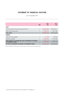# **STATEMENT OF FINANCIAL POSITION**

as at 31 December 2016

|                                                                                                | <b>NOTE</b>    | 2016<br><b>USS</b> | 2015<br><b>USS</b> |
|------------------------------------------------------------------------------------------------|----------------|--------------------|--------------------|
| <b>ASSETS</b>                                                                                  |                |                    |                    |
| Financial assets at fair value through profit or loss                                          | $\overline{2}$ | 220 089 808        | 189 936 611        |
| Cash and cash equivalents                                                                      | 3              | 10 400 915         | 9415796            |
| <b>TOTAL ASSETS</b>                                                                            |                | 230 490 723        | 199 352 407        |
| <b>LIABILITIES</b>                                                                             |                |                    |                    |
| Trade and other payables                                                                       | $\overline{4}$ | 113 344            | 129 066            |
| Distribution payable                                                                           | $\overline{7}$ | 8 885 962          | 6776900            |
| <b>TOTAL LIABILITIES, EXCLUDING NET ASSETS ATTRIBUTABLE TO HOLDERS</b><br>OF REDEEMABLE SHARES |                | 8 999 306          | 6 905 966          |
| NET ASSETS ATTRIBUTABLE TO HOLDERS OF REDEEMABLE SHARES                                        |                | 221 491 417        | 192 446 441        |

The above Statement of financial position should be read in conjuction with the accompanying notes.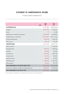# **STATEMENT OF COMPREHENSIVE INCOME**

For the year ended 31 December 2016

|                                                             | <b>NOTE</b>    | 2016<br><b>USS</b> | 2015<br><b>USS</b> |
|-------------------------------------------------------------|----------------|--------------------|--------------------|
| <b>NET INVESTMENT LOSSES</b>                                |                | (9128424)          | (78958313)         |
| <b>Dividends</b>                                            |                | 10 641 670         | 11 448 457         |
| Interest                                                    |                | 81                 | 65 468             |
| Realised losses on disposal of investments                  |                | (2876502)          | (6 472 867)        |
| Unrealised losses on investments                            |                | (16752991)         | (84115516)         |
| Foreign exchange losses                                     |                | (696 810)          | (481 635)          |
| Other income                                                |                | 556 128            | 597 780            |
| <b>OPERATING EXPENSES</b>                                   |                | (2 311 854)        | (5337717)          |
| Performance fees                                            |                |                    | (1, 595, 641)      |
| Management fees                                             |                | (540 412)          | (1208765)          |
| Audit fees                                                  |                | (20 300)           | (26 000)           |
| Custodian fees                                              |                | (614675)           | (638740)           |
| <b>Transaction</b> fees                                     |                | (43912)            | (49087)            |
| Administration fees                                         |                | (69066)            | (67 695)           |
| Withholding taxes                                           |                | (998 264)          | (1692654)          |
| Other expenses                                              |                | (25 225)           | (59135)            |
| <b>TOTAL COMPREHENSIVE LOSS BEFORE FINANCE COSTS</b>        |                | (11440278)         | (84 296 030)       |
| Finance cost - distribution to holders of redeemable shares | $\overline{7}$ | (8885962)          | (6776900)          |
| <b>TOTAL COMPREHENSIVE LOSS FOR THE YEAR</b>                |                | (20326240)         | (91 072 930)       |

The above Statement of comprehensive income should be read in conjuction with the accompanying notes.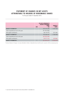# **STATEMENT OF CHANGES IN NET ASSETS ATTRIBUTABLE TO HOLDERS OF REDEEMABLE SHARES**

For the year ended 31 December 2016

|                                       | <b>NOTE</b>    | NET ASSETS ATTRIBUTABLE TO<br><b>HOLDERS OF REDEEMABLE</b><br><b>SHARES</b><br><b>USS</b> | NUMBER OF<br><b>SHARES</b> |
|---------------------------------------|----------------|-------------------------------------------------------------------------------------------|----------------------------|
| <b>BALANCE AT 31 DECEMBER 2014</b>    |                | 235 372 296                                                                               | 1 452 564                  |
| Total comprehensive loss for the year |                | (91 072 930)                                                                              |                            |
| Net capital contributions             |                | 48 147 075                                                                                | 331 464                    |
| <b>BALANCE AT 31 DECEMBER 2015</b>    |                | 192 446 441                                                                               | 1784028                    |
| Total comprehensive loss for the year |                | (20326240)                                                                                |                            |
| Net capital contributions             |                | 49 371 216                                                                                | 418846                     |
| <b>BALANCE AT 31 DECEMBER 2016</b>    | $\overline{7}$ | 221 491 417                                                                               | 2 202 874                  |

The above Statement of changes in net assets attributable to holders of redeemable shares should be read in conjuction with the accompanying notes.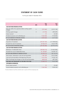# **STATEMENT OF CASH FLOWS**

For the year ended 31 December 2016

|                                                                    | <b>NOTE</b> | 2016<br><b>USS</b> | 2015<br><b>USS</b> |
|--------------------------------------------------------------------|-------------|--------------------|--------------------|
| <b>CASH FLOW FROM OPERATING ACTIVITIES</b>                         |             |                    |                    |
| Net cash outflow from operations before working capital<br>changes | 5.1         | (757 462)          | (3013120)          |
| Working capital changes                                            | 5.2         | (15722)            | (59069)            |
| Interest received                                                  |             | 81                 | 65 468             |
| Dividends received, net of withholding tax                         |             | 9 643 406          | 9 755 803          |
| <b>NET CASH GENERATED BY OPERATING ACTIVITIES</b>                  |             | 8 870 303          | 6 217 452          |
| <b>CASH FLOW FROM INVESTING ACTIVITIES</b>                         |             |                    |                    |
| Acquisition of investments                                         |             | (97 727 107)       | (117598563)        |
| Proceeds from sale of investments                                  |             | 47 944 419         | 53 621 990         |
| NET CASH UTILISED IN INVESTING ACTIVITIES                          |             | (49 782 688)       | (63976573)         |
| <b>CASH FLOW FROM FINANCING ACTIVITIES</b>                         |             |                    |                    |
| Redemption of redeemable shares                                    |             | (38 506 513)       | (16062082)         |
| Proceeds from issue of redeemable shares                           |             | 81 100 827         | 64 209 157         |
| NET CASH FLOWS PROVIDED BY FINANCING ACTIVITIES                    |             | 42 594 314         | 48 147 075         |
| Net increase / (decrease) in cash and cash equivalents             |             | 1681929            | (9612046)          |
| Cash and cash equivalents at the beginning of the year             |             | 9 415 796          | 19 525 104         |
| Effect of exchange rate changes on cash and cash equivalents       |             | (696 810)          | (497 262)          |
| <b>CASH AND CASH EQUIVALENTS AT THE END OF THE YEAR</b>            |             | 10 400 915         | 9 415 796          |
| <b>SUPPLEMENTAL INFORMATION:</b>                                   |             |                    |                    |
| Actual interest received                                           |             | 81                 | 65 468             |
| Actual dividends received, net of withholding tax                  |             | 9 643 406          | 9 830 550          |

The above Statement of cash flows should be read in conjuction with the accompanying notes.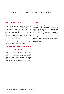### **CORPORATE INFORMATION**

Allan Gray Africa ex-SA Equity Fund Limited (the 'Fund') was incorporated on 31 October 2011 and is a limited liability company of unlimited duration. The Fund was launched to the public on 1 January 2012 and is a Bermuda exempted Mutual Fund Company. The investment manager of the Fund is Allan Gray International Proprietary Limited (the 'Investment Manager'). Allan Gray Proprietary Limited is the Investment Advisor to the Fund.

The financial statements of the Fund were authorised for issue by the board of directors on 15 March 2017.

### **1. ACCOUNTING STANDARDS AND POLICIES**

# **1.1 BASIS OF PREPARATION**

The financial statements have been prepared on a going concern basis, using the historical cost basis, except for financial instruments that have been measured at either fair value or amortised cost, in accordance with International Financial Reporting Standards ('IFRS'). These financial statements are presented in US dollars, being the functional currency of the Fund.

### **1.2 IFRS**

The Fund has adopted all new and revised standards, interpretations and amendments issued by the International Accounting Standards Board (the 'IASB') and the IFRS Interpretations Committee of the IASB that are relevant to its operations and effective for the annual accounting period ended 31 December 2016.

The significant accounting policies adopted in the preparation of the financial statements are set out on the following page and are in accordance with and comply with IFRS.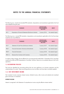The following new, revised and amended IFRS standards, interpretations and amendments applicable to the Fund were adopted during the year:

|       | <b>STANDARDS</b>                                             | EFFECTIVE DATE:<br><b>YEARS BEGINNING</b><br>ON/AFTER | <b>IMPACT</b>      |
|-------|--------------------------------------------------------------|-------------------------------------------------------|--------------------|
| IAS 1 | Presentation of Financial Statements (Disclosure initiative) | 1 January 2016                                        | No material impact |

The following new or revised IFRS standards, interpretations and amendments applicable to the Fund have been issued but are not yet effective:

|                  | <b>STANDARDS</b>                                | EFFECTIVE DATE:<br><b>YEARS BEGINNING</b><br>ON/AFTER | IMPACT             |
|------------------|-------------------------------------------------|-------------------------------------------------------|--------------------|
| IAS <sub>7</sub> | Statement of Cash Flows (Disclosure initiative) | 1 January 2017                                        | No material impact |
| <b>IFRS 7</b>    | Financial Instruments: Disclosures (Amendment)  | 1 January 2018                                        | No material impact |
| <b>IFRS 9</b>    | <b>Financial Instruments</b>                    | 1 January 2018                                        | No material impact |
| IFRS 15          | Revenue from Contracts with Customers           | 1 January 2018                                        | No material impact |

A number of other changes, that are effective for accounting periods ended after 31 December 2016, have been issued by the IASB and IFRS Interpretations Committee. However, these are not considered relevant to the Fund's operations.

# **1.3 ACCOUNTING POLICIES**

The Fund has identified the accounting policies that are most significant to its business operations and the understanding of its results. These accounting policies are set out below and have been consistently applied.

## **1.3.1 NET INVESTMENT INCOME**

Net investment income comprises interest income, dividend income, other income and realised and unrealised gains and losses on investments.

### INTEREST INCOME

Interest is recognised in the Statement of comprehensive income using the effective interest method.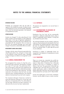#### DIVIDEND INCOME

Dividends are recognised when the last date to register for the dividend has passed. Dividend income is presented gross of any non-recoverable withholding taxes, which are disclosed separately in the Statement of comprehensive income.

#### OTHER INCOME

Investors are charged 1% when subscribing for Fund shares. Investors may be charged 1% when redeeming Fund shares in the case of significant redemptions. These charges are paid into the Fund to offset the costs associated with the transactions that are borne by the Fund. The Investment Manager may waive these charges if transactions substantially offset one another.

#### INVESTMENT GAINS AND LOSSES

Changes in the fair value of financial assets held at fair value through profit or loss, and gains or losses made on the disposal of these financial assets, calculated using the average cost method, are recognised in profit or loss.

# **1.3.2 ANNUAL MANAGEMENT FEE**

The management fee consists of a fixed fee and a performance fee component. The fixed fee is charged at a rate of 1% per year. The performance fee is 20% of the extent to which the Fund outperforms the benchmark, after the fixed fee is deducted and subject to the Fund exceeding the 'high watermark'. The high watermark is the maximum ratio the Fund's net asset value per share, including distributions, has achieved relative to the benchmark since the Fund's inception.

The Investment Manager's Board has resolved to waive the fixed fee component of 1% per year with effect from 16 September 2016. This will be effective until the high watermark has been achieved or an alternative fee structure has been implemented.

## **1.3.3 EXPENSES**

All expenses are recognised on an accrual basis in profit or loss.

## **1.3.4 DISTRIBUTIONS TO HOLDERS OF REDEEMABLE SHARES**

Distributions from the Fund will be automatically reinvested in additional redeemable shares unless a holder of redeemable shares requests in writing that any dividends be paid to them.

All unclaimed dividends may be invested or otherwise made use of by the directors for the benefit of the Fund until claimed. No dividend shall bear interest against the Fund. An entitlement shall lapse in favour of the Fund if not claimed within 12 years after the accrual of such entitlement.

Distributions to holders of redeemable shares are recognised in the Statement of comprehensive income as finance costs.

### **1.3.5 TAXATION**

There is no income tax, corporation tax, profits tax, withholding tax, capital gains tax, capital transfer tax, estate or stamp duty or inheritance tax in Bermuda payable by the Fund or its Members in respect of shares in the Fund. The government of Bermuda has undertaken that in the event that any income, profit, capital, capital gains, estate or inheritance taxes are levied in Bermuda in the future, the Fund and its shares will be exempt from such taxes until 31 March 2035.

Income and capital gains on the Fund's investments, however, may be subject to taxes in certain countries.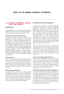## **1.3.6 FINANCIAL INSTRUMENTS: FINANCIAL ASSETS AND LIABILITIES**

### **CLASSIFICATION**

The Fund classifies its investment in equity instruments, related derivatives and money market instruments as financial assets at fair value through profit or loss.

#### FINANCIAL ASSETS AT FAIR VALUE THROUGH PROFIT OR LOSS

The Fund's investments in equity instruments are designated upon initial recognition on the basis that they are part of a group of financial assets that are managed and have their performance evaluated on a fair value basis, in accordance with risk management and investment strategies of the Fund, as set out in the Fund's offering document. Derivatives are categorised as held for trading and are not designated as effective hedging instruments in terms of IAS 39. When a derivative financial instrument is not designated in a hedge relationship that qualifies for hedge accounting, all changes in its fair value are recognised immediately in profit or loss.

#### LOANS AND RECEIVABLES

Loans and receivables are non-derivative financial assets with fixed or determinable payments that are not quoted in an active market. Loans and receivables comprise cash and cash equivalents and trade and other receivables, which include dividend receivable and amounts due from brokers, which are short term in nature.

#### FINANCIAL LIABILITIES AT AMORTISED COST

The Fund classifies its trade and other payables and distribution payable as financial liabilities at amortised cost, which is measured at amortised cost. Trade and other payables include accrued expenses and amounts due to brokers, which are short term in nature. Amortised cost approximates fair value due to the short term nature of the financial liabilities.

### RECOGNITION AND MEASUREMENT

A 'regular way' contract is one that requires the delivery of an asset within the time frame established, generally by regulation or convention within the marketplace concerned. Regular way purchases and sales of financial assets are recognised using trade date accounting. Trade date accounting refers to (a) the recognition of an asset to be received and the liability to pay for it on the trade date, and (b) derecognition of an asset that is sold, recognition of any gain or loss on disposal and the recognition of a receivable from the buyer for payment on the trade date. The trade date is the date that an entity commits itself to purchase or to sell an asset.

Financial instruments are recognised on the trade date at fair value, plus, in the case of assets not at fair value through profit or loss, directly attributable transaction costs. The Fund determines the classification of its financial instruments on initial recognition, when the Fund becomes a party to the contract governing the instrument.

### FINANCIAL ASSETS AT FAIR VALUE THROUGH PROFIT OR LOSS

Financial assets designated as at fair value through profit or loss are measured at fair value. Subsequent to initial recognition, investments at fair value through profit or loss are marked to market on a daily basis with changes in fair value taken through profit or loss as gains and losses. Attributable transaction costs are recognised in profit or loss as incurred.

### LOANS AND RECEIVABLES AND FINANCIAL LIABILITIES AT AMORTISED COST

Loans and receivables and financial liabilities at amortised cost are measured initially at fair value plus any directly attributable transaction costs. Subsequent to initial recognition, loans and receivables and financial liabilities at amortised cost are measured at amortised cost using the effective interest method, less any impairment losses. Amortised cost approximates fair value due to the short term nature of loans and receivables and financial liabilities.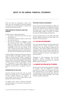Gains and losses are recognised in profit or loss when loans and receivables and financial liabilities at amortised cost are derecognised or impaired, and through the amortisation process.

#### DERECOGNITION OF FINANCIAL ASSETS AND LIABILITIES

A financial asset is derecognised where:

- The rights to receive cash flows from the asset have expired, or
- The Fund has transferred its rights to receive cash flows from the asset, or
- The Fund has assumed an obligation to pay the received cash flows in full without material delay to a third party under a 'pass-through' arrangement. Either (a) the Fund has transferred substantially all the risks and rewards of the asset, or (b) the Fund has neither transferred nor retained substantially all the risks and rewards of the asset, but has transferred control of the asset.

A financial liability is derecognised when the obligation under the liability is discharged, cancelled or expires. Where an existing financial liability is replaced by another from the same lender on substantially different terms, or the terms of an existing liability are substantially modified, such an exchange or modification is treated as a derecognition of the original liability and the recognition of a new liability, and the difference in the respective carrying amounts is recognised in profit or loss.

### DETERMINATION OF FAIR VALUE

Financial instruments carried at fair value are valued based on a quoted price in an active market. For all other financial instruments not traded in an active market, the fair value is determined by using appropriate valuation techniques.

An analysis of fair values of financial instruments and further details as to how they are measured, are provided in note 6.

#### OFFSETTING FINANCIAL INSTRUMENTS

A financial asset and a financial liability are offset, and the net amount presented in the Statement of financial position, only when the Fund currently has a legally enforceable right to set off the recognised amounts and intends either to settle on a net basis, or to realise the asset and settle the liability simultaneously.

Income and expense items are only offset to the extent that their related instruments have been offset in the Statement of financial position.

## **1.3.7 CASH AND CASH EQUIVALENTS**

Cash and cash equivalents are short-term highly liquid investments that are readily convertible to known amounts of cash, and are subject to insignificant risk of changes in value. Balances held for the purposes of meeting short-term cash commitments, rather than for investment or other purposes, are current assets and disclosed separately on the face of the Statement of financial position.

Subsequent to initial recognition, cash and cash equivalents, accounts receivable and accounts payable are measured at amortised cost using the effective interest rate method.

## **1.3.8 AMOUNTS DUE FROM AND DUE TO BROKERS**

Amounts due from and to brokers represent receivables for securities sold and payables for securities purchased (in a regular way transaction) that have been contracted for but not yet settled or delivered on the Statement of financial position date. These are included in trade and other receivables, and in trade and other payables, respectively.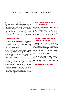These amounts are recognised initially at fair value and subsequently measured at amortised cost using the effective interest method, less provision for impairment for amounts due from brokers. Amortised cost approximates fair value due to the short term nature of amounts due from and to brokers. A provision for impairment of amounts due from brokers is established when there is objective evidence that the Fund will not be able to collect all amounts due from the relevant broker.

## **1.3.9 FOREIGN CURRENCIES**

The Fund's functional currency is the US dollar, which is the currency in which the performance of the Fund is evaluated and its liquidity is managed. Foreign currency items are recorded at the exchange rate ruling on the transaction date.

Monetary assets and liabilities denominated in foreign currencies are translated to US dollars at rates of exchange ruling at the Statement of financial position date or when settled. Gains and losses arising from the translation of these monetary assets and liabilities are recognised in profit or loss.

Realised and unrealised foreign currency gains or losses on investments measured at fair value through profit or loss are included in the Statement of comprehensive income in realised gains or losses on disposal of investments and unrealised losses on investments, respectively. Realised and unrealised foreign currency gains or losses on all other financial instruments denominated in foreign currencies are included in the Statement of comprehensive income in Foreign exchange losses.

## **1.3.10 NET ASSETS ATTRIBUTABLE TO HOLDERS OF REDEEMABLE SHARES**

Shares issued by the Fund are classified as financial liabilities and disclosed as net assets attributable holders of redeemable shares. The value of net assets attributable to holders is what is commonly known as the capital value of the Fund. This financial liability (as defined by IAS 32) represents the holders' right to a residual interest in the Fund's net assets.

## **1.3.11 CRITICAL JUDGEMENT IN APPLYING THE FUND'S ACCOUNTING POLICIES**

The preparation of the Fund's financial statements requires the Investment Manager to make judgements, estimates and assumptions that affect the amounts recognised in the financial statements. However, uncertainty about these assumptions and estimates could result in outcomes that could require a material adjustment to the carrying amount of the asset or liability affected in the future.

When the fair value of financial assets and liabilities recorded in the Statement of financial position cannot be derived from active markets, they are determined using a variety of valuation techniques. Refer to note 6.2.

# **1.3.12 EVENTS SUBSEQUENT TO YEAR-END**

There were no significant events subsequent to year-end.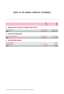|                                                          | 2016        | 2015        |
|----------------------------------------------------------|-------------|-------------|
|                                                          | <b>USS</b>  | <b>USS</b>  |
| 2. FINANCIAL ASSETS AT FAIR VALUE THROUGH PROFIT OR LOSS |             |             |
| Foreign equities                                         | 220 089 808 | 189 936 611 |
| <b>TOTAL</b>                                             | 220 089 808 | 189 936 611 |
| <b>3. CASH AND CASH EQUIVALENTS</b>                      |             |             |
| Cash with foreign banks                                  | 10 400 915  | 9415796     |
| <b>TOTAL</b>                                             | 10 400 915  | 9415796     |
| <b>4. TRADE AND OTHER PAYABLES</b>                       |             |             |
| Management fees                                          |             | 77 611      |
| Other expenses                                           | 113 344     | 51 455      |
| <b>TOTAL</b>                                             | 113 344     | 129 066     |
|                                                          |             |             |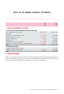|                                                                     | 2016          | 2015         |
|---------------------------------------------------------------------|---------------|--------------|
|                                                                     | <b>USS</b>    | <b>USS</b>   |
| 5. NOTES TO THE STATEMENTS OF CASH FLOWS                            |               |              |
| 5.1 NET CASH OUTFLOW FROM OPERATIONS BEFORE WORKING CAPITAL CHANGES |               |              |
| Total comprehensive loss for the year                               | (20326240)    | (91 072 930) |
| Adjustments:                                                        |               |              |
| Realised losses on disposal of investments                          | 2 876 502     | 6 491 403    |
| Unrealised losses on investments                                    | 16752991      | 84 115 516   |
| Foreign exchange losses                                             | 696810        | 497 262      |
| Interest income                                                     | (81)          | (65, 468)    |
| Dividend income, net of withholding tax                             | (9 643 406)   | (9755803)    |
| Finance cost - distribution to holders of redeemable shares         | 8 8 8 5 9 6 2 | 6776900      |
| <b>TOTAL</b>                                                        | (757 462)     | (3013120)    |
| <b>5.2 WORKING CAPITAL CHANGES</b>                                  |               |              |
| Decrease in trade and other receivables                             |               | 74747        |
| Decrease in trade and other payables                                | (15722)       | (665 446)    |
| <b>TOTAL</b>                                                        | (15 722)      | (590 699)    |

# **6. FINANCIAL INSTRUMENTS**

Details of the significant accounting policies and methods adopted, including the criteria for recognition, the basis of measurement and the basis on which income and expenses are recognised, in respect of each class of financial asset and financial liability are disclosed in note 1 to the financial statements.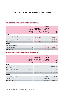# **CATEGORISATION OF FINANCIAL INSTRUMENTS AT 31 DECEMBER 2016**

|                                                          | <b>LOANS AND</b><br><b>RECEIVABLES</b><br><b>USS</b> | <b>FINANCIAL ASSETS</b><br><b>MEASURED AT FAIR</b><br><b>VALUE</b><br><b>USS</b> | <b>FINANCIAL</b><br><b>LIABILITIES</b><br><b>MEASURED AT</b><br>AMORTISED COST<br><b>USS</b> | <b>TOTAL</b><br>US\$ |
|----------------------------------------------------------|------------------------------------------------------|----------------------------------------------------------------------------------|----------------------------------------------------------------------------------------------|----------------------|
| <b>ASSETS</b>                                            |                                                      |                                                                                  |                                                                                              |                      |
| Financial assets at fair value through<br>profit or loss |                                                      | 220 089 808                                                                      |                                                                                              | 220 089 808          |
| Cash and cash equivalents                                | 10 400 915                                           |                                                                                  |                                                                                              | 10 400 915           |
| <b>TOTAL ASSETS</b>                                      | 10 400 915                                           | 220 089 808                                                                      |                                                                                              | 230 490 723          |
| <b>LIABILITIES</b>                                       |                                                      |                                                                                  |                                                                                              |                      |
| Trade and other payables                                 |                                                      |                                                                                  | 113 344                                                                                      | 113 344              |
| Distribution payable                                     |                                                      |                                                                                  | 8 8 8 5 9 6 2                                                                                | 8 8 8 5 9 6 2        |
| TOTAL LIABILITIES                                        | ٠                                                    |                                                                                  | 8 999 306                                                                                    | 8 999 306            |

# **CATEGORISATION OF FINANCIAL INSTRUMENTS AT 31 DECEMBER 2015**

|                                                          | <b>LOANS AND</b><br><b>RECEIVABLES</b><br>US\$ | <b>FINANCIAL ASSETS</b><br><b>MEASURED AT FAIR</b><br><b>VALUE</b><br>US\$ | <b>FINANCIAL</b><br><b>LIABILITIES</b><br><b>MEASURED AT</b><br>AMORTISED COST<br><b>USS</b> | <b>TOTAL</b><br>US\$ |
|----------------------------------------------------------|------------------------------------------------|----------------------------------------------------------------------------|----------------------------------------------------------------------------------------------|----------------------|
| <b>ASSETS</b>                                            |                                                |                                                                            |                                                                                              |                      |
| Financial assets at fair value through<br>profit or loss |                                                | 189 936 611                                                                |                                                                                              | 189 936 611          |
| Cash and cash equivalents                                | 9415796                                        | $\overline{\phantom{a}}$                                                   |                                                                                              | 9415796              |
| Trade and other receivables                              |                                                | $\overline{\phantom{a}}$                                                   |                                                                                              |                      |
| <b>TOTAL ASSETS</b>                                      | 9 415 796                                      | 189 936 611                                                                |                                                                                              | 199 352 407          |
| <b>LIABILITIES</b>                                       |                                                |                                                                            |                                                                                              |                      |
| Trade and other payables                                 | $\overline{\phantom{a}}$                       |                                                                            | 129 066                                                                                      | 129 066              |
| Distribution payable                                     | ٠                                              | $\overline{\phantom{a}}$                                                   | 6776900                                                                                      | 6776900              |
| TOTAL LIABILITIES                                        | ۰                                              | ٠                                                                          | 6 905 966                                                                                    | 6 905 966            |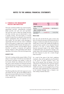## **6.1 FINANCIAL RISK MANAGEMENT POLICIES AND OBJECTIVES**

The Fund's investment portfolio may comprise equities, equity-linked securities, interest-bearing non-equity linked securities and cash and cash equivalents. The Fund may invest in listed and unlisted securities and these securities may be denominated in local or foreign currency. The Fund invests in a focused portfolio of assets that are selected for their perceived superior fundamental value and expected risk and return profile. The Fund seeks to take advantage of opportunities that arise and may invest a substantial portion of the assets in a single country or region rather than a diversified portfolio of assets with exposure to a basket of African countries. The Fund defines 'African Securities' as equities in companies with significant business interests in Africa (excluding South Africa), regardless of the location of the stock exchange listing.

#### MARKET RISK

The Fund's investing activities expose holders of Fund shares to various types of risk that are associated with the financial instruments and markets in which the Fund invests. Market risk is defined as the risk that the fair value or future cash flows of a financial instrument will fluctuate because of changes in market prices and includes interest rate, foreign currency and other price risks.

The following table shows the Fund's exposure to price and interest rate risks, split into the different types of financial instruments held by the Fund at 31 December 2016. The analysis only relates to instruments subject to those specific risks.

| <b>EXPOSURE</b>                      | 2016<br><b>USS</b> | 2015<br><b>USS</b> |  |  |
|--------------------------------------|--------------------|--------------------|--|--|
| <b>SUBJECT TO PRICE RISK</b>         |                    |                    |  |  |
| Equities                             | 220 089 808        | 189 936 611        |  |  |
| <b>SUBJECT TO INTEREST RATE RISK</b> |                    |                    |  |  |
| Cash and cash<br>equivalents         | 10 400 915         | 9415796            |  |  |

## PRICE RISK

Price risk is the risk that the fair value or future cash flows of a financial instrument will fluctuate because of changes in market prices (other than those arising from interest rate or currency risk), whether the changes are caused by factors specific to the individual financial instrument or its issuer, or factors affecting similar financial instruments traded in the market. Holders of redeemable shares are exposed to changes in the market values of the individual investments underlying the Fund. Exposure to price risk is mainly through listed instruments.

As a result of the nature of the Fund's underlying investments, there will be significant price fluctuations in the pursuit of superior long-term returns, and there will be periods when the equities in the Fund underperform its benchmark and/or generate negative absolute returns. Short-term performance can be volatile and investors are encouraged to focus on longterm returns when evaluating the Fund's performance, as the Investment Manager takes a long-term view when making investment decisions.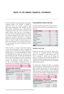The Fund's portfolio is constructed based on proprietary investment research. This research is intended to enable the Fund to be invested in equities which offer superior fundamental value. Whether an equity offers superior fundamental value is determined by comparing the share price with an assessment of the equity's intrinsic value. Price risk is not managed in the Fund. Shares are typically bought when research and analysis indicates that the intrinsic value of the company far exceeds its market price, in anticipation of the price rising to its intrinsic value and it is believed there is a margin of safety. The lower the price of a share when compared to its assessed intrinsic value, the more attractive the equity's fundamental value is considered to be.

There has been no change to the Fund's exposure to price risk or the manner in which it manages and measures the risk. The following analysis indicates the possible impact on net assets attributable to holders of redeemable shares to price risk, until such time as the investments are sold. The table also illustrates the effect of possible changes in fair value of investments for price risk, assuming that all other variables remain constant. The disclosure provides information on the risks to which holders of redeemable shares are exposed and is not indicative of future performance.

|                                                                     | 2016        | 2015          |
|---------------------------------------------------------------------|-------------|---------------|
|                                                                     | <b>USS</b>  | <b>USS</b>    |
| <b>INVESTMENTS SUBJECT TO PRICE RISK</b>                            |             |               |
| <b>EQUITIES</b>                                                     |             |               |
| Effect on net assets attributable to holder of<br>redeemable shares |             |               |
| Gross exposure                                                      | 220 089 808 | 189 936 611   |
| $+5%$                                                               | 11 004 490  | 9 4 9 6 8 3 1 |
| $+10%$                                                              | 22 008 981  | 18 993 661    |
| $+20%$                                                              | 44 017 962  | 37 987 322    |
|                                                                     |             |               |

### CONCENTRATION OF EQUITY PRICE RISK

The following table analyses the Fund's concentration of equity price risk in the Fund's equity portfolio by sector allocation:

| % OF EQUITY SECURITIES | 2016  | 2015  |
|------------------------|-------|-------|
| Financials             | 31.9  | 31.8  |
| Consumer goods         | 24.3  | 25.7  |
| Telecommunications     | 15.6  | 16.7  |
| Oil & gas              | 14.4  | 14.0  |
| <b>Basic materials</b> | 7.6   | 4.2   |
| <b>Utilities</b>       | 3.5   | 3.9   |
| Consumer services      | 2.5   | 2.9   |
| <b>Industrials</b>     | 0.2   | 0.8   |
| <b>TOTAL</b>           | 100.0 | 100.0 |

## INTEREST RATE RISK

Interest rate risk is the risk that the fair value or future cash flows of a financial instrument will fluctuate because of changes in market interest rates. The Fund is exposed to interest rate risk through its exposure to holding cash and cash equivalents. The Investment Manager manages the Fund's exposure to interest rates in accordance with the Fund's investment objectives and policies.

The table below illustrates the effect of reasonably possible changes in prevailing interest rates, with all other variables held constant. The actual results may differ from the sensitivity analysis, and the difference could be material. The disclosure provides information on the risks to which holders of redeemable shares are exposed and is not indicative of future performance.

|                                                                     | 2016       | 2015       |  |  |  |
|---------------------------------------------------------------------|------------|------------|--|--|--|
|                                                                     | <b>USS</b> | <b>USS</b> |  |  |  |
| <b>INVESTMENTS SUBJECT TO INTEREST RATE RISK</b>                    |            |            |  |  |  |
| CASH AND CASH EQUIVALENTS 10 400 915 9 415 796                      |            |            |  |  |  |
| Effect on net assets attributable to holder of<br>redeemable shares |            |            |  |  |  |
| $+0.5%$                                                             | 52 005     | 47 079     |  |  |  |
| $+1.0%$                                                             | 104 009    | 94 158     |  |  |  |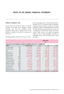### FOREIGN CURRENCY RISK

Currency risk is the risk that the value of a financial instrument will fluctuate due to changes in foreign exchange rates. The Fund undertakes certain transactions denominated in foreign currencies and therefore is exposed to the effects of exchange rate fluctuations.

The following tables indicate the currencies to which

the Fund had exposure at 31 December 2016 and 31 December 2015 on its financial assets and liabilities. A positive number indicates an increase in net assets attributable to holders of redeemable shares where the US dollar weakens against the relevant currency. For a strengthening of the US dollar against the relevant currency, there would be an equal and opposite impact on the net assets attributable to holders of redeemable shares, and the balances below would be negative.

|                    |            |                                                                                          |           | <b>CURRENCY IMPACT</b> |               |
|--------------------|------------|------------------------------------------------------------------------------------------|-----------|------------------------|---------------|
|                    |            |                                                                                          |           | <b>USS</b>             |               |
|                    |            | EFFECT ON NET ASSETS ATTRIBUTABLE TO HOLDERS OF REDEEMABLE SHARES AS AT 31 DECEMBER 2016 |           |                        |               |
| <b>CURRENCY</b>    |            | <b>FINANCIAL ASSET USS</b>                                                               | $-/-5%$   | $-/-10%$               | $-/-20%$      |
| Canadian dollar    | CAD        | 1726949                                                                                  | 86 347    | 172 695                | 345 390       |
| Australian dollar  | <b>AUD</b> | 7 677 032                                                                                | 383 852   | 767 703                | 1 535 406     |
| Euro               | <b>EUR</b> | 9 5 9 7 3 2 1                                                                            | 479 866   | 959732                 | 1919464       |
| British pound      | <b>GBP</b> | 27 586 218                                                                               | 1 379 311 | 2758622                | 5 5 1 7 2 4 4 |
| Egyptian pound     | <b>EGP</b> | 27 977 088                                                                               | 1 398 854 | 2797709                | 5 5 9 5 4 1 8 |
| Kenyan shilling    | <b>KES</b> | 15 389 240                                                                               | 769 462   | 1 538 924              | 3 077 848     |
| Nigerian naira     | <b>NGN</b> | 48 078 393                                                                               | 2 403 920 | 4 807 839              | 9615679       |
| Botswana pula      | <b>BWP</b> | 4 6 6 1                                                                                  | 233       | 466                    | 932           |
| Tanzanian shilling | <b>TZS</b> | 1 360 754                                                                                | 68 038    | 136 075                | 272 151       |
| Ugandan shilling   | <b>UGX</b> | 7 5 28 9 12                                                                              | 376 446   | 752 891                | 1 505 782     |
| Malawian kwacha    | <b>MWK</b> | 3 426 239                                                                                | 171312    | 342 624                | 685 248       |
| Zambian kwacha     | ZMW        | 2 599 999                                                                                | 130 000   | 260 000                | 520 000       |
| Rwandan franc      | <b>RWF</b> | 5 3 5 8 3 2 9                                                                            | 267 916   | 535 833                | 1071666       |
| Ghanaian cedi      | <b>GHS</b> | 32 909                                                                                   | 1645      | 3 2 9 1                | 6 5 8 2       |
| West African franc | <b>XOF</b> | 8 621 479                                                                                | 431 074   | 862 148                | 1724296       |
|                    |            |                                                                                          | 8 348 276 | 16 696 552             | 33 393 106    |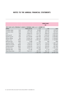|            |                            |               | <b>CURRENCY IMPACT</b><br><b>USS</b> |                                                                                          |
|------------|----------------------------|---------------|--------------------------------------|------------------------------------------------------------------------------------------|
|            |                            |               |                                      |                                                                                          |
|            | <b>FINANCIAL ASSET USS</b> | $-/-5%$       | $-/-10%$                             | $-/-20%$                                                                                 |
| CAD        | 1893762                    | 94 688        | 189 376                              | 378752                                                                                   |
| <b>AUD</b> | 4 631 963                  | 231 598       | 463 196                              | 926 393                                                                                  |
| <b>EUR</b> | 8 3 8 2 3 7 2              | 419 119       | 838 237                              | 1 676 474                                                                                |
| <b>GBP</b> | 15 426 517                 | 771 326       | 1 542 652                            | 3 085 303                                                                                |
| <b>EGP</b> | 32 154 009                 | 1 607 700     | 3 2 1 5 4 0 1                        | 6 430 802                                                                                |
| <b>KES</b> | 10 504 194                 | 525 210       | 1 050 419                            | 2 100 839                                                                                |
| <b>NGN</b> | 45 844 945                 | 2 2 9 2 2 4 7 | 4 5 8 4 4 9 5                        | 9 168 989                                                                                |
| <b>BWP</b> | 4 4 8 8                    | 224           | 449                                  | 898                                                                                      |
| <b>UGX</b> | 7 446 590                  | 372 329       | 744 659                              | 1489318                                                                                  |
| <b>MWK</b> | 3 182 325                  | 159 116       | 318 232                              | 636 465                                                                                  |
| ZMW        | 2 306 250                  | 115 312       | 230 625                              | 461 250                                                                                  |
| <b>RWF</b> | 8 5 2 5 7 1 4              | 426 286       | 852 571                              | 1705 143                                                                                 |
| <b>GHS</b> | 31 182                     | 1 5 5 9       | 3 1 1 8                              | 6236                                                                                     |
| <b>XOF</b> | 9 641 517                  | 482 076       | 964 152                              | 1928303                                                                                  |
|            |                            | 7 498 790     | 14 997 582                           | 29 995 165                                                                               |
|            |                            |               |                                      | EFFECT ON NET ASSETS ATTRIBUTABLE TO HOLDERS OF REDEEMABLE SHARES AS AT 31 DECEMBER 2015 |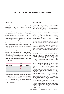### CREDIT RISK

Credit risk refers to the risk that a counterparty will default on its contractual obligations, resulting in financial loss to the Fund.

At year-end, financial assets exposed to credit risk comprised cash accounts. The Investment Manager monitors the creditworthiness of the Fund's counterparties (e.g. brokers, custodians and banks) by reviewing their credit ratings, financial statements and press releases on a regular basis.

The compliance departments of the Administrator and the Investment Manager monitor compliance with applicable regulations and the investment mandate on a daily basis.

The table below provides an analysis of the credit quality of the Fund's cash and cash equivalents at reporting date by rating agency category. The credit quality has been assessed by reference to Fitch credit ratings, and where unavailable, Moody's ratings have been used. Ratings are presented in ascending order of credit risk.

|                      | 2016      | 2015      |
|----------------------|-----------|-----------|
| <b>CREDIT RATING</b> | % OF FUND | % OF FUND |
| $A+$                 | 0.1       | 4.5       |
| A                    | 4.6       |           |
| BBB-                 | ۰         | 0.4       |
|                      | 4 7       | 4 Q       |

Note that the balance (95.3% of the Fund's net assets) (31 December 2015: 95.1% of the Fund's net assets) comprises financial assets at fair value through profit or loss, trade and other receivables, distribution payable and accrued expenses, which have been excluded from the table above.

#### LIQUIDITY RISK

Liquidity risk is the risk that the Fund may not be able to generate sufficient cash resources to settle its obligations in full as they fall due or can only do so on terms that are materially disadvantageous.

The Fund invests in markets that are considered emerging markets. Such markets are generally less mature and developed than those in advanced countries. Liquidity risk management rests with the Investment Manager, which has built an appropriate liquidity risk management framework for the management of the Fund's short-, medium- and longterm funding and liquidity management requirements.

The Fund's redeemable shares are redeemable for cash equal to the proportionate share of the Fund's net asset value per share. The Fund is therefore potentially exposed to weekly redemptions by the holders of redeemable shares.

The Fund may not borrow other than to meet redemptions. Such borrowing is limited to 10% of the Fund's net asset value and must be repaid as soon as practically possible. The Investment Manager's compliance department monitors compliance with the applicable requirements.

Where total members' redemptions on any dealing day are more than US\$5 000 000 of the total net asset value of the Fund or 2.5% of the total number of issued shares (whichever is less), the Investment Manager may, at its discretion, redeem only 2.5% of the total number of issued shares of the Fund or US\$5 000 000 of the total net asset value of the Fund (whichever is less), on a pro rata basis among the members, per dealing day. If any redemptions requests are not satisfied in full, the balance thereof will be carried forward to the following dealing day, subject to the same 2.5% restriction. Members whose redemptions have been carried forward to the following dealing day shall have preference over subsequent redemption requests received from members. The Investment Manager retains the right to distribute all or part of the redemption proceeds in specie (in kind).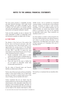The Fund invests primarily in marketable securities and other financial instruments, which under normal market conditions, are readily convertible to cash. In addition, the Fund's policy is to maintain sufficient cash and cash equivalents to meet normal operating requirements and expected redemption requests.

Trade and other payables are due on demand. Net assets attributable to holders of redeemable shares and distribution payable are settled within 30 days.

# **6.2 FAIR VALUE**

The directors of the Fund are of the opinion that the fair value of all financial instruments, other than those measured at fair value through profit or loss, approximates the carrying amount in the Statement of financial position as these balances are due within 30 days. IFRS 7 and IFRS 13 require fair value measurements to be disclosed by the source of inputs, using a three-level hierarchy, as follows:

- Quoted (unadjusted) market prices in active markets for identical assets or liabilities (level 1);
- Those involving inputs that are directly or indirectly observable (level 2); and
- Those with inputs for the asset or liability that are not based on observable market data (unobservable inputs) (level 3).

The fair values of financial assets and financial liabilities are determined as follows:

The fair value of financial assets and financial liabilities traded in active liquid markets such as listed equity securities are based on quoted market prices at the close of trading, and are classified within level 1.

Certain investments that are not valued using the quoted market price on the securities exchange can be valued based on other observable market data at the discretion of the Investment Manager. Securities not traded through recognized public securities exchanges can be valued on the valuation date based on other reliable sources, such as quotations by recognized investment dealers, at the discretion of the Investment Manager. Investments not listed on public securities exchanges, or for which reliable quotations are not readily available, are valued using valuation models based on assumptions that may not be supported by observable market inputs. These investments are classified as level 2 or 3.

An active market is a market in which transactions for the asset or liability take place with sufficient frequency and volume to provide pricing information on an ongoing basis. The tables below show the fair values of these instruments at 31 December 2016 and 31 December 2015.

| <b>LEVEL 1</b>                                                            | 2016<br><b>USS</b> | 2015<br><b>USS</b> |
|---------------------------------------------------------------------------|--------------------|--------------------|
| <b>FINANCIAL ASSETS</b>                                                   |                    |                    |
| <b>FINANCIAL ASSETS AT FAIR</b><br><b>VALUE THROUGH PROFIT</b><br>OR LOSS |                    |                    |
| Equities                                                                  | 168 448 957        | 189 936 611        |
|                                                                           |                    |                    |
|                                                                           | 2016               | 2015               |
| LEVEL 3                                                                   | <b>USS</b>         | <b>USS</b>         |
| <b>FINANCIAL ASSETS</b>                                                   |                    |                    |
| <b>FINANCIAL ASSETS AT FAIR</b><br><b>VALUE THROUGH PROFIT</b><br>OR LOSS |                    |                    |
| Equities                                                                  | 51 640 851         |                    |

The Fund has no investments that are classified within level 2.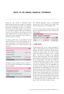During the year ended 31 December 2016, deteriorating macroeconomic conditions in Zimbabwe led to a severe shortage of US dollars. The Zimbabwe government introduced bond notes in an attempt to solve the chronic US dollar shortage in the country. As it is very difficult to get US dollars out of Zimbabwe, investors with cash balances are looking to buy real assets, therefore driving up equity valuations. As a result the fair value was adjusted, which resulted in a transfer from level 1 to level 3.

The following table shows a reconcilliation from the opening balances to the closing balances for fair value measurements of financial assets held at fair value through profit or loss, in level 3 of the fair value hierarchy:

|                                                      | liss       |
|------------------------------------------------------|------------|
| Opening balance                                      |            |
| Transfer into level 3                                | 65 299 100 |
| Disposal of shares                                   |            |
| Net gains / (losses) recognised in<br>profit or loss | (13658249) |
| <b>CLOSING BALANCE</b>                               | 51 640 851 |

Total gains or losses included in profit or loss for the year are presented in the Statement of comprehensive income as follows:

|                                                             | <b>USS</b> |
|-------------------------------------------------------------|------------|
| Unrealised gains / (losses)<br>recognised in profit or loss | (13658249) |
| Realised losses recognised in profit<br>or loss             |            |
| <b>CLOSING BALANCE</b>                                      | (13658249) |

The Investment Manager used an unobservable discount rate of 20% to impair the fair value of the Zimbabwe listed shares at 31 December 2016.

For fair value measurements in level 3 of the fair value hierarchy, changing the discount rate would have the following effect:

| <b>EFFECT ON PROFIT OR LOSS:</b>        |             |                 |  |
|-----------------------------------------|-------------|-----------------|--|
| INCREASE / (DECREASE) OF DISCOUNT RATE: |             |                 |  |
|                                         | <b>GAIN</b> | <b>LOSS</b>     |  |
| $+5\%$                                  | 3 227 553   | $(3\ 227\ 553)$ |  |

+-10% 6 455 106 (6 455 106)

## **7. SHARE CAPITAL**

Notwithstanding that the net assets attributable to holders of redeemable shares are classified as financial liabilities, the directors of the Fund consider these to represent the Fund's capital. The number of shares issued and redeemed during the years is reported below. The Fund is not subject to any externally imposed capital requirements. The Fund's authorised share capital at 31 December 2016 and 31 December 2015 is detailed below. Fund shares are divided into five share classes (Class A, Class B, Class C, Class D and Class E), which participate pro rata in the Fund's net assets and dividends, and are redeemable and non-voting. Founder shares do not participate in the Fund's portfolio, are redeemable at par value only after all Fund shares have been redeemed, and carry the right to vote. If the Fund is wound up or dissolved, the Founder shares will participate only to the extent of their par value. All of the authorised Founder shares of the Fund have been issued as fully paid and are held by Allan Gray International Proprietary Limited. As at 31 December 2016 and 31 December 2015, only Class A and Class E shares had been issued.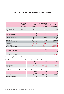|                                                   | <b>FUND SHARES</b><br><b>PAR VALUE</b> | <b>AUTHORISED</b>  | <b>FOUNDER SHARES PAR</b><br><b>VALUE</b> | <b>AUTHORISED AND ISSUED</b> |
|---------------------------------------------------|----------------------------------------|--------------------|-------------------------------------------|------------------------------|
|                                                   | (PER SHARE)                            | <b>FUND SHARES</b> | (PER SHARE)                               | <b>FOUNDER SHARES</b>        |
| Allan Gray Africa<br>ex-SA Equity Fund<br>Limited | US\$0.0001                             | 99 990 000         | US\$0.01                                  | 100                          |
|                                                   |                                        |                    |                                           |                              |
| <b>FUND SHARE TRANSACTIONS</b>                    |                                        | <b>CLASS</b>       | <b>CLASS</b>                              |                              |
|                                                   |                                        | A                  | E                                         | <b>TOTAL</b>                 |
| <b>BALANCE AT 31 DECEMBER 2014</b>                |                                        | 709 039            | 743 525                                   | 1 452 564                    |
| Subscriptions                                     |                                        | 216 679            | 250 817                                   | 467 496                      |
| Redemptions                                       |                                        | (133 183)          | (2849)                                    | (136032)                     |
| <b>BALANCE AT 31 DECEMBER 2015</b>                |                                        | 792 535            | 991 493                                   | 1784028                      |
| Subscriptions                                     |                                        | 64 255             | 742 321                                   | 806 576                      |
| Redemptions                                       |                                        | (350893)           | (36 837)                                  | (387 730)                    |
| <b>BALANCE AT 31 DECEMBER 2016</b>                |                                        | 505 897            | 1 696 977                                 | 2 202 874                    |
|                                                   |                                        |                    |                                           |                              |
| <b>NET ASSET VALUE PER SHARE</b>                  |                                        |                    | <b>CLASS A</b><br><b>USS</b>              | <b>CLASS E</b><br><b>USS</b> |
| On 31 December 2015                               |                                        |                    | 99.80                                     | 114.32                       |

On 31 December 2016 **88.97** 104.00

There are no options in existence for any capital.

The following income distribution was declared on 31 December 2016 by the Fund:

|                        | <b>CLASS A</b><br><b>USS</b> | <b>CLASS E</b><br>USS | TOTAL<br><b>USS</b> |
|------------------------|------------------------------|-----------------------|---------------------|
| Total distribution     | 2 262 321                    | 6 623 641             | 8 8 8 5 9 6 2       |
| Distribution per share | 44719                        | 3.9032                |                     |

The following income distribution was declared on 31 December 2015 by the Fund:

|                        | <b>CLASS A</b> | <b>CLASS E</b> | TOTAL      |
|------------------------|----------------|----------------|------------|
|                        | <b>USS</b>     | USS            | <b>USS</b> |
| Total distribution     | 1 652 324      | 5 1 2 4 5 7 6  | 6776900    |
| Distribution per share | 2.0848         | 5.1685         |            |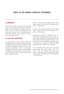### **8. COMMITMENTS**

The Fund has a daily uncommitted intraday US\$5 million clearing facility, US\$2 million settlement facility and a US\$5 million pre-settlement exposure facility in place to facilitate the settlement of trade instructions. The Fund has no overdraft facilities in place. These facilities expire annually on 31 May and automatically roll over.

### **9. RELATED PARTY TRANSACTIONS**

The Orbis Group of funds ('Orbis funds') are managed by Orbis Investment Management Limited. A related party relationship exists between Orbis Investment Management Limited and Allan Gray International Proprietary Limited, the Investment Manager of the Fund, by virtue of a common ultimate shareholder. For the year ended 31 December 2016 and 31 December 2015, no Orbis funds held any shares directly in the Fund.

Directors of the Fund held approximately 4 000 shares, indirectly in the Fund at 31 December 2016 (2015 - 5 000 shares).

Directors of the Investment Manager held 15 000 shares indirectly in the Fund at 31 December 2016 (2015 - 14 000 shares).

During the year ended 31 December 2016, the management and performance fees incurred by the Fund were US\$540 412 and US\$0 respectively (2015 - US\$1 208 765 and US\$1 595 641). At 31 December 2016, the management and performance fee payable by the Fund were US\$0 and US\$0 respectively (2015 - US\$77 611 and US\$0).

At 31 December 2016, Allan Gray funds held approximately 993 186 shares in the Fund (2015 - 621 603 shares). Allan Gray Life Limited, subsidiary of the Investment Advisor, held approximately 252 488 shares in the Fund (2015 - 217 582 shares).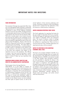# **IMPORTANT NOTES FOR INVESTORS**

### **FUND INFORMATION**

The Investment Manager has appointed Allan Gray Unit Trust Management (RF) Proprietary Limited (the 'Representative') as its representative for the purpose of approval in terms of the Collective Investment Schemes Control Act 45 of 2002. The Representative is incorporated under the laws of South Africa and is supervised by the Financial Services Board ('FSB'). The Fund is currently open to new investors however the Fund may be closed to new investments at any time to be managed according to its mandate. If you have any questions regarding the status of the Fund, please contact the Registrar. Shares in the Fund are traded at ruling prices and the Fund can engage in borrowing and scrip lending. This report does not constitute a financial promotion, a recommendation, an offer to sell or a solicitation to buy shares in the Fund. Investments in the Fund are made according to the terms and conditions and subject to the restrictions set out in the prospectus. The offering of shares in the Fund may be restricted in certain jurisdictions. Please contact the Allan Gray service team to confirm if there are any restrictions that apply to you.

## **EUROPEAN UNION SAVINGS DIRECTIVE AND DIRECTIVE ON ADMINISTRATIVE COOPERATION**

#### The European Union Savings Directive

2003/48/EC of 3 June 2003 on taxation of savings income in the form of interest payments was repealed in November 2015, as a consequence of the adoption in December 2015 of the EU Directive on Administrative Cooperation 2014/107/EU. The Directive on Administrative Cooperation expands the scope of income and information subject to automatic exchange between EU Member States to include not only interest income, but also dividends and other types of capital income, as well as the

annual balance of the accounts producing such income. The board of directors of the Fund believes that the Fund is exempt from the application of the EU Directive on Administrative Cooperation.

### **UNITED KINGDOM REPORTING FUND STATUS**

The Fund's application for reporting fund status for the year ended 31 December 2015 was successful. The Fund will apply for reporting fund status for the year ended 31 December 2016 and subsequent years. The board of directors intend to manage the Fund in such a way that it should continue to be certified as a reporting fund. There can be no assurance that the Fund's intended applications for reporting fund status will be successful.

## **NOTICE TO INVESTORS IN THE EUROPEAN ECONOMIC AREA ('EEA')**

The Fund is not currently marketed in the EEA. As a result, the Investment Manager does not comply with the requirements of the Alternative Investment Fund Managers Directive ('AIFMD'), and persons located in any EEA member state ('European Investors') are only permitted to subscribe for shares in the Fund in the discretion of the Investment Manager and subject to compliance with applicable law. European Investors who are permitted to invest in the Fund will not benefit from any of the protections of the AIFMD to which a European Investor making an investment in a non-European fund would otherwise have, including but without limitation, certain initial disclosure requirements, periodic reporting on illiquid assets and leverage, and certain annual reporting requirements.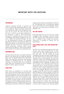## **PERFORMANCE**

Collective Investment Schemes in Securities (unit trusts or mutual funds) are generally medium- to longterm investments. Where annualised performance is mentioned, this refers to the average return per year over the period. The value of shares may go down as well as up and past performance is not necessarily a guide to future performance. Movements in exchange rates may cause the value of underlying international investments to go up or down. Neither the Investment Manager, the Fund nor the Representative provides any guarantee regarding the capital or the performance of the Fund. Performance figures are provided by the Investment Manager and are for lump sum investments with income distributions reinvested. Actual investor performance may differ as a result of the investment date, the date of reinvestment and applicable taxes.

### **BENCHMARK DATA**

The Fund's benchmark data is provided by Standard Bank Plc who require that we include the following legal note. The Standard Bank Africa Total Return Index is the proprietary information and registered trademark of Standard Bank Plc. All copyright subsisting in the Standard Bank Africa Total Return Index values and constituent lists vests in Standard Bank Plc. All their rights are reserved.

## **SHARE PRICE**

Share prices are calculated on a net asset value basis, which is the total market value of all assets in the Fund including any income accruals and less any permissible deductions from the Fund divided by the number of shares in issue. Forward pricing is used. The weekly price of the Fund is normally calculated each Friday. Purchase requests must be received by the Registrar of the Fund (being Citibank Europe plc, Luxembourg Branch) by 17:00 Bermuda time on that dealing day to receive that week's price. Redemption requests must be received by the Registrar of the Fund by 12:00 Bermuda time, on the particular dealing day on which shares are to be redeemed to receive that week's price. Share prices are available on www. allangray.co.za.

### **FEES AND CHARGES**

Permissible deductions from the Fund may include management fees, brokerage, Securities Transfer Tax (STT), auditor's fees, bank charges and custody fees. A schedule of fees, charges and maximum commissions is available on request from the Representative.

## **TOTAL EXPENSE RATIO ('TER') AND TRANSACTION COSTS**

The TER is the annualised percentage of the Fund's average assets under management that has been used to pay the Fund's actual expenses over the past three years. The TER includes the annual management fees that have been charged (both the fee at benchmark and any performance component charged), VAT and other expenses like audit fees. Transaction trading costs (including brokerage, STT and investor protection levies and VAT thereon where applicable) are shown separately. Transaction costs are a necessary cost in administering the Fund and impacts Fund returns. They should not be considered in isolation as returns may be impacted by many other factors over time including market returns, the type of fund, the investment decisions of the investment manager and the TER. Since Fund returns are quoted after the deduction of these expenses, the TER and Transaction costs should not be deducted again from published returns. As collective investment scheme expenses vary, the current TER cannot be used as an indication of future TERs. A higher TER ratio does not necessarily imply a poor return, nor does a low TER imply a good return. Instead, when investing, the investment objective of the Fund should be aligned with the investor's objective and compared against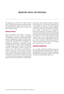# **IMPORTANT NOTES FOR INVESTORS**

the performance of the Fund. The TER and other funds' TERs should then be used to evaluate whether the Fund performance offers value for money. The sum of the TER and Transaction costs is shown as the Total investment charge.

### **FOREIGN EXPOSURE**

There are significant risks involved in investing in shares listed in the Fund's universe of emerging and developing countries including liquidity risks, sometimes aggravated by rapid and large outflows of 'hot money' and capital flight, concentration risk, currency risks, political and social instability, the possibility of expropriation, confiscatory taxation or nationalisation of assets and the establishment of foreign exchange controls which may include the suspension of the ability to transfer currency from a given country. The Fund can use derivatives to manage its exposure to stock markets, currencies and/ or interest rates and this exposes the Fund to contractual risk. Contractual risk includes the risk that a counterparty will not settle a transaction according to its terms and conditions because of a dispute over the terms of the contract (whether or not bona fide) or because of a credit or liquidity problem, causing the Fund to suffer a loss. Such contract counterparty risk is accentuated for contracts with longer maturities where events may intervene to prevent settlement, or where the Fund has concentrated its transactions with a single or small group of counterparties. Borrowing, leveraging, and trading securities on margin will result in interest charges and, depending on the amount of trading activity, such charges could be substantial. The low margin deposits normally required in futures and forward trading, which the Fund may utilise, permit a high degree of leverage. As a result, a relatively small price movement in a futures or forward contract may result in immediate and substantial losses to the investor.

### **ADDITIONAL INFORMATION**

You can obtain additional information about the Fund, including copies of the fact sheet, prospectus and application forms, free of charge, by contacting the Allan Gray service team, at +353 1 622 4716 or by email at AGclientservice@citi.com.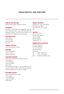# **CHARACTERISTICS AND DIRECTORY**

### **DOMICILE AND STRUCTURE**

Bermuda open-ended investment company

### **REGULATION**

The Fund is incorporated and registered under the laws of Bermuda and is supervised by the Bermuda Monetary Authority. The Fund is also listed on, and regulated by, the Bermuda Stock Exchange.

## **REGISTERED OFFICE**

Orbis House 25 Front Street Hamilton HM11 Bermuda

### **COMPANY SECRETARY**

Orbis Administration Limited

### **DIRECTORS**

Craig T Bodenstab John C R Collis Tapologo Motshubi

#### **INVESTMENT MANAGER**

Allan Gray International Proprietary Limited 1 Silo Square V & A Waterfront Cape Town 8001 South Africa The Investment Manager is an authorised Financial Services Provider in terms of the Financial Advisory and Intermediary Services Act 37 of 2002.

### **INVESTMENT ADVISOR**

Allan Gray Proprietary Limited 1 Silo Square V & A Waterfront Cape Town 8001 South Africa

#### **PRIMARY CUSTODIAN**

Citibank N.A., New York Offices 390 Greenwich Street New York, New York 10013 USA

#### **AUDITORS**

Ernst & Young LLP Ernst & Young Tower 222 Bay Street Toronto, Ontario Canada M5K 1J7

### **ADMINISTRATOR & REGISTRAR**

Citibank Europe plc Luxembourg Branch 31 - Z.A. Bourmicht L-8070 Bertrange Luxembourg Tel +353 1 622 4716  $F_{\text{ex}}$  +353 1 622 8543 Email AGclientservice@citi.com